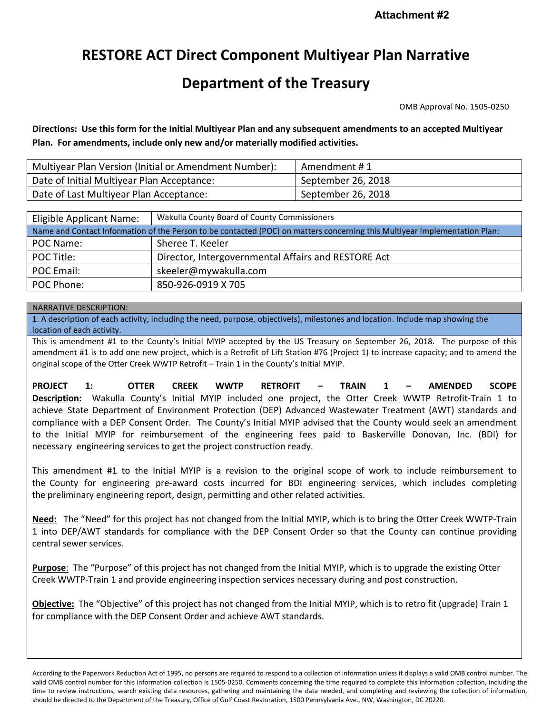# **RESTORE ACT Direct Component Multiyear Plan Narrative**

# **Department of the Treasury**

OMB Approval No. 1505-0250

**Directions: Use this form for the Initial Multiyear Plan and any subsequent amendments to an accepted Multiyear Plan. For amendments, include only new and/or materially modified activities.**

| Multiyear Plan Version (Initial or Amendment Number): | Amendment #1       |
|-------------------------------------------------------|--------------------|
| Date of Initial Multiyear Plan Acceptance:            | September 26, 2018 |
| Date of Last Multiyear Plan Acceptance:               | September 26, 2018 |

| Eligible Applicant Name:                                                                                                   | Wakulla County Board of County Commissioners        |  |  |  |  |
|----------------------------------------------------------------------------------------------------------------------------|-----------------------------------------------------|--|--|--|--|
| Name and Contact Information of the Person to be contacted (POC) on matters concerning this Multiyear Implementation Plan: |                                                     |  |  |  |  |
| POC Name:                                                                                                                  | Sheree T. Keeler                                    |  |  |  |  |
| POC Title:                                                                                                                 | Director, Intergovernmental Affairs and RESTORE Act |  |  |  |  |
| POC Email:                                                                                                                 | skeeler@mywakulla.com                               |  |  |  |  |
| POC Phone:                                                                                                                 | 850-926-0919 X 705                                  |  |  |  |  |

#### NARRATIVE DESCRIPTION:

1. A description of each activity, including the need, purpose, objective(s), milestones and location. Include map showing the location of each activity.

This is amendment #1 to the County's Initial MYIP accepted by the US Treasury on September 26, 2018. The purpose of this amendment #1 is to add one new project, which is a Retrofit of Lift Station #76 (Project 1) to increase capacity; and to amend the original scope of the Otter Creek WWTP Retrofit – Train 1 in the County's Initial MYIP.

**PROJECT 1: OTTER CREEK WWTP RETROFIT – TRAIN 1 – AMENDED SCOPE Description:** Wakulla County's Initial MYIP included one project, the Otter Creek WWTP Retrofit-Train 1 to achieve State Department of Environment Protection (DEP) Advanced Wastewater Treatment (AWT) standards and compliance with a DEP Consent Order. The County's Initial MYIP advised that the County would seek an amendment to the Initial MYIP for reimbursement of the engineering fees paid to Baskerville Donovan, Inc. (BDI) for necessary engineering services to get the project construction ready.

This amendment #1 to the Initial MYIP is a revision to the original scope of work to include reimbursement to the County for engineering pre-award costs incurred for BDI engineering services, which includes completing the preliminary engineering report, design, permitting and other related activities.

**Need:** The "Need" for this project has not changed from the Initial MYIP, which is to bring the Otter Creek WWTP-Train 1 into DEP/AWT standards for compliance with the DEP Consent Order so that the County can continue providing central sewer services.

**Purpose**: The "Purpose" of this project has not changed from the Initial MYIP, which is to upgrade the existing Otter Creek WWTP-Train 1 and provide engineering inspection services necessary during and post construction.

**Objective:** The "Objective" of this project has not changed from the Initial MYIP, which is to retro fit (upgrade) Train 1 for compliance with the DEP Consent Order and achieve AWT standards.

According to the Paperwork Reduction Act of 1995, no persons are required to respond to a collection of information unless it displays a valid OMB control number. The valid OMB control number for this information collection is 1505-0250. Comments concerning the time required to complete this information collection, including the time to review instructions, search existing data resources, gathering and maintaining the data needed, and completing and reviewing the collection of information, should be directed to the Department of the Treasury, Office of Gulf Coast Restoration, 1500 Pennsylvania Ave., NW, Washington, DC 20220.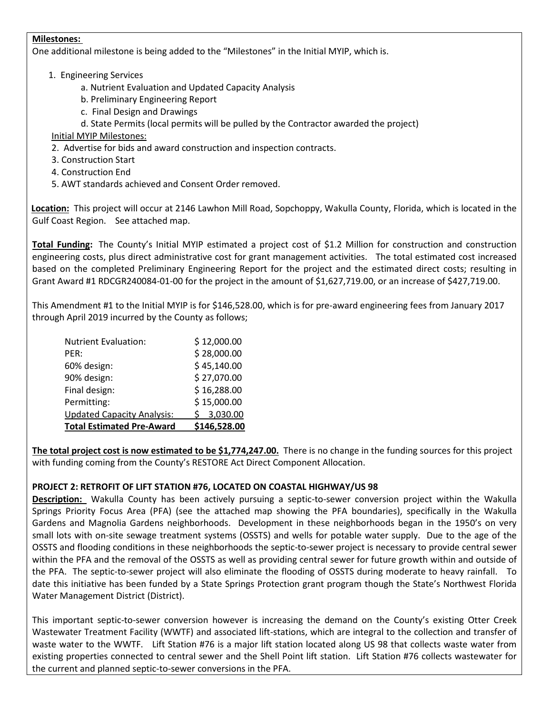#### **Milestones:**

One additional milestone is being added to the "Milestones" in the Initial MYIP, which is.

#### 1. Engineering Services

a. Nutrient Evaluation and Updated Capacity Analysis

- b. Preliminary Engineering Report
- c. Final Design and Drawings
- d. State Permits (local permits will be pulled by the Contractor awarded the project)

Initial MYIP Milestones:

- 2. Advertise for bids and award construction and inspection contracts.
- 3. Construction Start
- 4. Construction End
- 5. AWT standards achieved and Consent Order removed.

**Location:** This project will occur at 2146 Lawhon Mill Road, Sopchoppy, Wakulla County, Florida, which is located in the Gulf Coast Region. See attached map.

**Total Funding:** The County's Initial MYIP estimated a project cost of \$1.2 Million for construction and construction engineering costs, plus direct administrative cost for grant management activities. The total estimated cost increased based on the completed Preliminary Engineering Report for the project and the estimated direct costs; resulting in Grant Award #1 RDCGR240084-01-00 for the project in the amount of \$1,627,719.00, or an increase of \$427,719.00.

This Amendment #1 to the Initial MYIP is for \$146,528.00, which is for pre-award engineering fees from January 2017 through April 2019 incurred by the County as follows;

| <b>Total Estimated Pre-Award</b>  | \$146,528.00 |
|-----------------------------------|--------------|
| <b>Updated Capacity Analysis:</b> | \$3,030.00   |
| Permitting:                       | \$15,000.00  |
| Final design:                     | \$16,288.00  |
| 90% design:                       | \$27,070.00  |
| 60% design:                       | \$45,140.00  |
| PER:                              | \$28,000.00  |
| <b>Nutrient Evaluation:</b>       | \$12,000.00  |

**The total project cost is now estimated to be \$1,774,247.00.** There is no change in the funding sources for this project with funding coming from the County's RESTORE Act Direct Component Allocation.

### **PROJECT 2: RETROFIT OF LIFT STATION #76, LOCATED ON COASTAL HIGHWAY/US 98**

**Description:** Wakulla County has been actively pursuing a septic-to-sewer conversion project within the Wakulla Springs Priority Focus Area (PFA) (see the attached map showing the PFA boundaries), specifically in the Wakulla Gardens and Magnolia Gardens neighborhoods. Development in these neighborhoods began in the 1950's on very small lots with on-site sewage treatment systems (OSSTS) and wells for potable water supply. Due to the age of the OSSTS and flooding conditions in these neighborhoods the septic-to-sewer project is necessary to provide central sewer within the PFA and the removal of the OSSTS as well as providing central sewer for future growth within and outside of the PFA. The septic-to-sewer project will also eliminate the flooding of OSSTS during moderate to heavy rainfall. To date this initiative has been funded by a State Springs Protection grant program though the State's Northwest Florida Water Management District (District).

This important septic-to-sewer conversion however is increasing the demand on the County's existing Otter Creek Wastewater Treatment Facility (WWTF) and associated lift-stations, which are integral to the collection and transfer of waste water to the WWTF. Lift Station #76 is a major lift station located along US 98 that collects waste water from existing properties connected to central sewer and the Shell Point lift station. Lift Station #76 collects wastewater for the current and planned septic-to-sewer conversions in the PFA.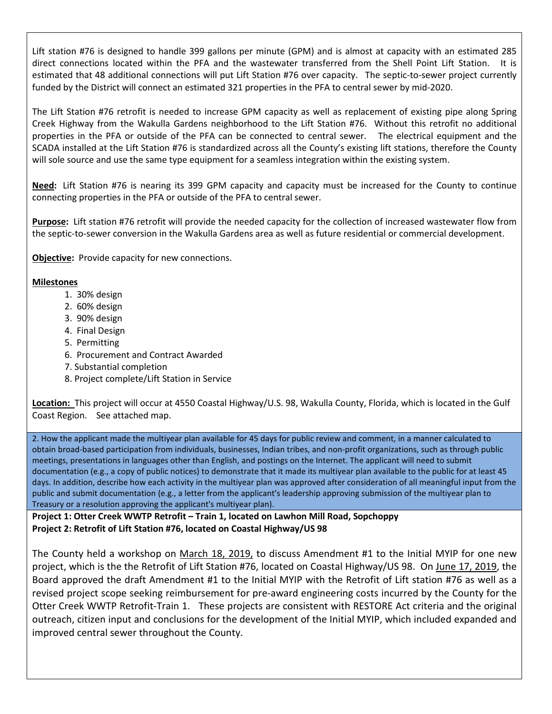Lift station #76 is designed to handle 399 gallons per minute (GPM) and is almost at capacity with an estimated 285 direct connections located within the PFA and the wastewater transferred from the Shell Point Lift Station. It is estimated that 48 additional connections will put Lift Station #76 over capacity. The septic-to-sewer project currently funded by the District will connect an estimated 321 properties in the PFA to central sewer by mid-2020.

The Lift Station #76 retrofit is needed to increase GPM capacity as well as replacement of existing pipe along Spring Creek Highway from the Wakulla Gardens neighborhood to the Lift Station #76. Without this retrofit no additional properties in the PFA or outside of the PFA can be connected to central sewer. The electrical equipment and the SCADA installed at the Lift Station #76 is standardized across all the County's existing lift stations, therefore the County will sole source and use the same type equipment for a seamless integration within the existing system.

**Need:** Lift Station #76 is nearing its 399 GPM capacity and capacity must be increased for the County to continue connecting properties in the PFA or outside of the PFA to central sewer.

**Purpose:** Lift station #76 retrofit will provide the needed capacity for the collection of increased wastewater flow from the septic-to-sewer conversion in the Wakulla Gardens area as well as future residential or commercial development.

**Objective:** Provide capacity for new connections.

#### **Milestones**

- 1. 30% design
- 2. 60% design
- 3. 90% design
- 4. Final Design
- 5. Permitting
- 6. Procurement and Contract Awarded
- 7. Substantial completion
- 8. Project complete/Lift Station in Service

**Location:** This project will occur at 4550 Coastal Highway/U.S. 98, Wakulla County, Florida, which is located in the Gulf Coast Region. See attached map.

2. How the applicant made the multiyear plan available for 45 days for public review and comment, in a manner calculated to obtain broad-based participation from individuals, businesses, Indian tribes, and non-profit organizations, such as through public meetings, presentations in languages other than English, and postings on the Internet. The applicant will need to submit documentation (e.g., a copy of public notices) to demonstrate that it made its multiyear plan available to the public for at least 45 days. In addition, describe how each activity in the multiyear plan was approved after consideration of all meaningful input from the public and submit documentation (e.g., a letter from the applicant's leadership approving submission of the multiyear plan to Treasury or a resolution approving the applicant's multiyear plan).

**Project 1: Otter Creek WWTP Retrofit – Train 1, located on Lawhon Mill Road, Sopchoppy Project 2: Retrofit of Lift Station #76, located on Coastal Highway/US 98**

The County held a workshop on March 18, 2019, to discuss Amendment #1 to the Initial MYIP for one new project, which is the the Retrofit of Lift Station #76, located on Coastal Highway/US 98. On June 17, 2019, the Board approved the draft Amendment #1 to the Initial MYIP with the Retrofit of Lift station #76 as well as a revised project scope seeking reimbursement for pre-award engineering costs incurred by the County for the Otter Creek WWTP Retrofit-Train 1. These projects are consistent with RESTORE Act criteria and the original outreach, citizen input and conclusions for the development of the Initial MYIP, which included expanded and improved central sewer throughout the County.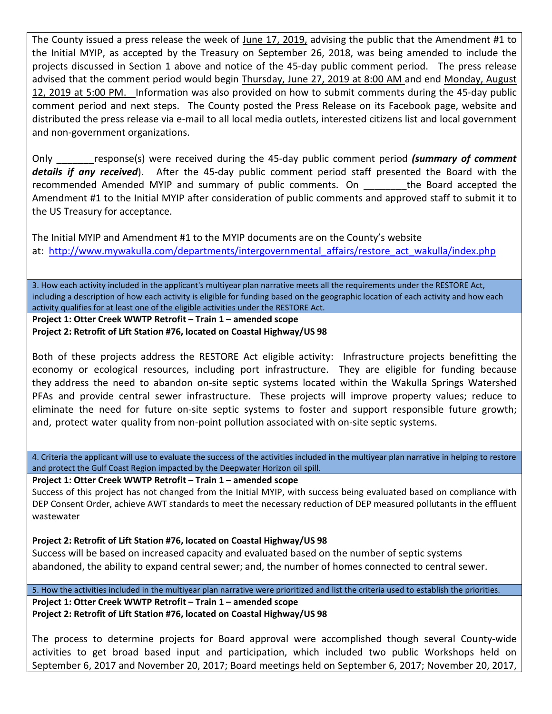The County issued a press release the week of June 17, 2019, advising the public that the Amendment #1 to the Initial MYIP, as accepted by the Treasury on September 26, 2018, was being amended to include the projects discussed in Section 1 above and notice of the 45-day public comment period. The press release advised that the comment period would begin Thursday, June 27, 2019 at 8:00 AM and end Monday, August 12, 2019 at 5:00 PM. Information was also provided on how to submit comments during the 45-day public comment period and next steps. The County posted the Press Release on its Facebook page, website and distributed the press release via e-mail to all local media outlets, interested citizens list and local government and non-government organizations.

Only \_\_\_\_\_\_\_response(s) were received during the 45-day public comment period *(summary of comment details if any received*). After the 45-day public comment period staff presented the Board with the recommended Amended MYIP and summary of public comments. On The Board accepted the Amendment #1 to the Initial MYIP after consideration of public comments and approved staff to submit it to the US Treasury for acceptance.

The Initial MYIP and Amendment #1 to the MYIP documents are on the County's website at: [http://www.mywakulla.com/departments/intergovernmental\\_affairs/restore\\_act\\_wakulla/index.php](http://www.mywakulla.com/departments/intergovernmental_affairs/restore_act_wakulla/index.php)

3. How each activity included in the applicant's multiyear plan narrative meets all the requirements under the RESTORE Act, including a description of how each activity is eligible for funding based on the geographic location of each activity and how each activity qualifies for at least one of the eligible activities under the RESTORE Act.

**Project 1: Otter Creek WWTP Retrofit – Train 1 – amended scope Project 2: Retrofit of Lift Station #76, located on Coastal Highway/US 98**

Both of these projects address the RESTORE Act eligible activity: Infrastructure projects benefitting the economy or ecological resources, including port infrastructure. They are eligible for funding because they address the need to abandon on-site septic systems located within the Wakulla Springs Watershed PFAs and provide central sewer infrastructure. These projects will improve property values; reduce to eliminate the need for future on-site septic systems to foster and support responsible future growth; and, protect water quality from non-point pollution associated with on-site septic systems.

4. Criteria the applicant will use to evaluate the success of the activities included in the multiyear plan narrative in helping to restore and protect the Gulf Coast Region impacted by the Deepwater Horizon oil spill.

**Project 1: Otter Creek WWTP Retrofit – Train 1 – amended scope**

Success of this project has not changed from the Initial MYIP, with success being evaluated based on compliance with DEP Consent Order, achieve AWT standards to meet the necessary reduction of DEP measured pollutants in the effluent wastewater

**Project 2: Retrofit of Lift Station #76, located on Coastal Highway/US 98**

Success will be based on increased capacity and evaluated based on the number of septic systems abandoned, the ability to expand central sewer; and, the number of homes connected to central sewer.

5. How the activities included in the multiyear plan narrative were prioritized and list the criteria used to establish the priorities. **Project 1: Otter Creek WWTP Retrofit – Train 1 – amended scope Project 2: Retrofit of Lift Station #76, located on Coastal Highway/US 98**

The process to determine projects for Board approval were accomplished though several County-wide activities to get broad based input and participation, which included two public Workshops held on September 6, 2017 and November 20, 2017; Board meetings held on September 6, 2017; November 20, 2017,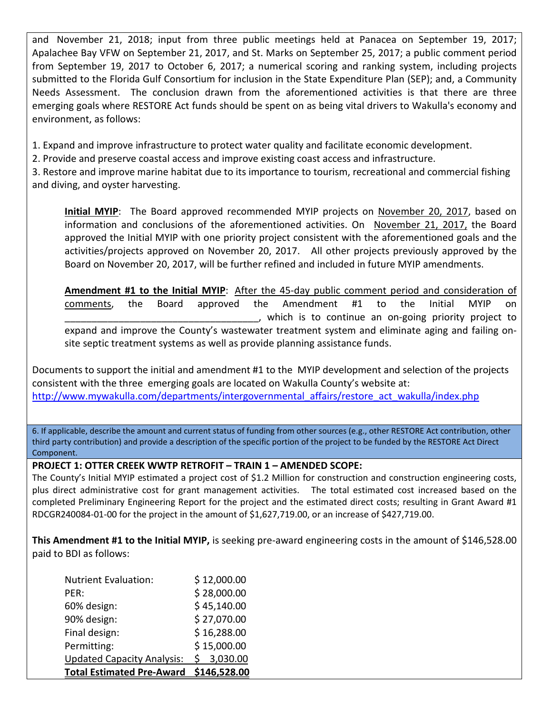and November 21, 2018; input from three public meetings held at Panacea on September 19, 2017; Apalachee Bay VFW on September 21, 2017, and St. Marks on September 25, 2017; a public comment period from September 19, 2017 to October 6, 2017; a numerical scoring and ranking system, including projects submitted to the Florida Gulf Consortium for inclusion in the State Expenditure Plan (SEP); and, a Community Needs Assessment. The conclusion drawn from the aforementioned activities is that there are three emerging goals where RESTORE Act funds should be spent on as being vital drivers to Wakulla's economy and environment, as follows:

1. Expand and improve infrastructure to protect water quality and facilitate economic development.

2. Provide and preserve coastal access and improve existing coast access and infrastructure.

3. Restore and improve marine habitat due to its importance to tourism, recreational and commercial fishing and diving, and oyster harvesting.

**Initial MYIP**: The Board approved recommended MYIP projects on November 20, 2017, based on information and conclusions of the aforementioned activities. On November 21, 2017, the Board approved the Initial MYIP with one priority project consistent with the aforementioned goals and the activities/projects approved on November 20, 2017. All other projects previously approved by the Board on November 20, 2017, will be further refined and included in future MYIP amendments.

**Amendment #1 to the Initial MYIP**: After the 45-day public comment period and consideration of comments, the Board approved the Amendment #1 to the Initial MYIP on \_\_\_\_\_\_\_\_\_\_\_\_\_\_\_\_\_\_\_\_\_\_\_\_\_\_\_\_\_\_\_\_\_\_\_\_, which is to continue an on-going priority project to expand and improve the County's wastewater treatment system and eliminate aging and failing onsite septic treatment systems as well as provide planning assistance funds.

Documents to support the initial and amendment #1 to the MYIP development and selection of the projects consistent with the three emerging goals are located on Wakulla County's website at: http://www.mywakulla.com/departments/intergovernmental affairs/restore act wakulla/index.php

6. If applicable, describe the amount and current status of funding from other sources (e.g., other RESTORE Act contribution, other third party contribution) and provide a description of the specific portion of the project to be funded by the RESTORE Act Direct Component.

## **PROJECT 1: OTTER CREEK WWTP RETROFIT – TRAIN 1 – AMENDED SCOPE:**

The County's Initial MYIP estimated a project cost of \$1.2 Million for construction and construction engineering costs, plus direct administrative cost for grant management activities. The total estimated cost increased based on the completed Preliminary Engineering Report for the project and the estimated direct costs; resulting in Grant Award #1 RDCGR240084-01-00 for the project in the amount of \$1,627,719.00, or an increase of \$427,719.00.

**This Amendment #1 to the Initial MYIP,** is seeking pre-award engineering costs in the amount of \$146,528.00 paid to BDI as follows:

| <b>Total Estimated Pre-Award</b>  | \$146,528.00 |
|-----------------------------------|--------------|
| <b>Updated Capacity Analysis:</b> | \$3,030.00   |
| Permitting:                       | \$15,000.00  |
| Final design:                     | \$16,288.00  |
| 90% design:                       | \$27,070.00  |
| 60% design:                       | \$45,140.00  |
| PER:                              | \$28,000.00  |
| <b>Nutrient Evaluation:</b>       | \$12,000.00  |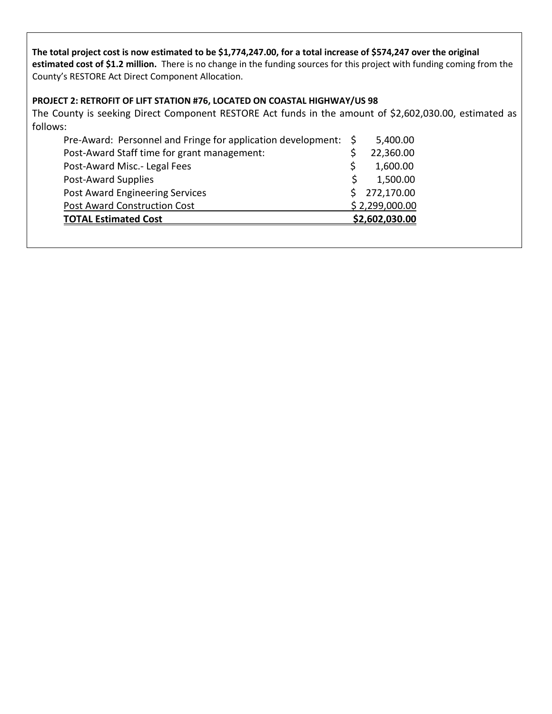### **The total project cost is now estimated to be \$1,774,247.00, for a total increase of \$574,247 over the original estimated cost of \$1.2 million.** There is no change in the funding sources for this project with funding coming from the County's RESTORE Act Direct Component Allocation.

## **PROJECT 2: RETROFIT OF LIFT STATION #76, LOCATED ON COASTAL HIGHWAY/US 98**

The County is seeking Direct Component RESTORE Act funds in the amount of \$2,602,030.00, estimated as follows:

| Pre-Award: Personnel and Fringe for application development: \$ | 5,400.00       |
|-----------------------------------------------------------------|----------------|
| Post-Award Staff time for grant management:                     | 22,360.00      |
| Post-Award Misc.- Legal Fees                                    | 1,600.00       |
| Post-Award Supplies                                             | 1,500.00       |
| Post Award Engineering Services                                 | \$272,170.00   |
| <b>Post Award Construction Cost</b>                             | \$2,299,000.00 |
| <b>TOTAL Estimated Cost</b>                                     | \$2,602,030.00 |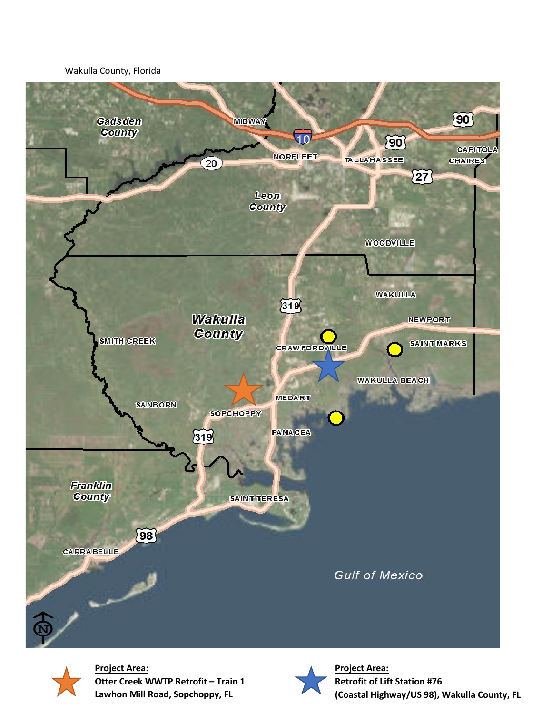#### Wakulla County, Florida





**Project Area: Otter Creek WWTP Retrofit – Train 1 Lawhon Mill Road, Sopchoppy, FL**



**Project Area: Retrofit of Lift Station #76 (Coastal Highway/US 98), Wakulla County, FL**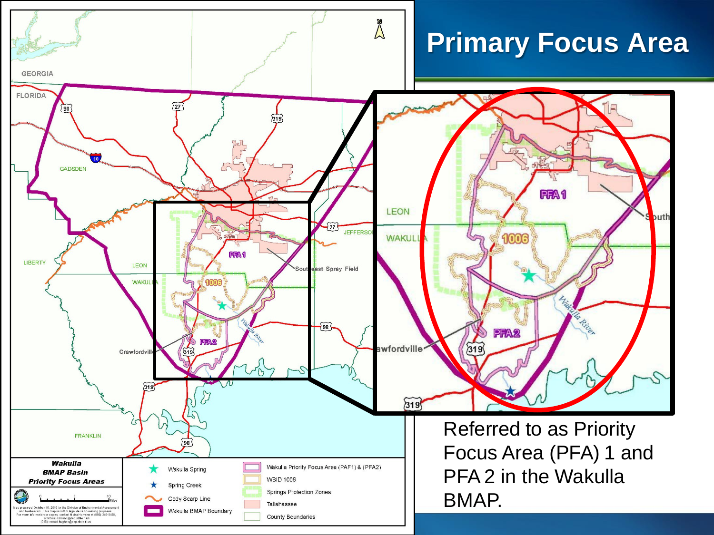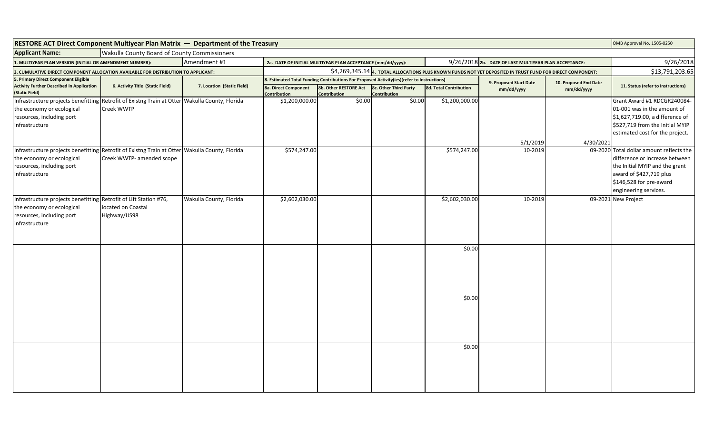| RESTORE ACT Direct Component Multiyear Plan Matrix - Department of the Treasury                |                                              |                            |                                             |                                                                                                                               |                                       |                        |                                                       |                       | OMB Approval No. 1505-0250                                |  |
|------------------------------------------------------------------------------------------------|----------------------------------------------|----------------------------|---------------------------------------------|-------------------------------------------------------------------------------------------------------------------------------|---------------------------------------|------------------------|-------------------------------------------------------|-----------------------|-----------------------------------------------------------|--|
| <b>Applicant Name:</b>                                                                         | Wakulla County Board of County Commissioners |                            |                                             |                                                                                                                               |                                       |                        |                                                       |                       |                                                           |  |
| . MULTIYEAR PLAN VERSION (INITIAL OR AMENDMENT NUMBER):                                        |                                              | Amendment #1               |                                             | 2a. DATE OF INITIAL MULTIYEAR PLAN ACCEPTANCE (mm/dd/yyyy):                                                                   |                                       |                        | 9/26/2018 2b. DATE OF LAST MULTIYEAR PLAN ACCEPTANCE: |                       |                                                           |  |
| . CUMULATIVE DIRECT COMPONENT ALLOCATION AVAILABLE FOR DISTRIBUTION TO APPLICANT:              |                                              |                            |                                             | \$4,269,345.14 4. TOTAL ALLOCATIONS PLUS KNOWN FUNDS NOT YET DEPOSITED IN TRUST FUND FOR DIRECT COMPONENT:<br>\$13,791,203.65 |                                       |                        |                                                       |                       |                                                           |  |
| . Primary Direct Component Eligible<br><b>Activity Further Described in Application</b>        |                                              |                            |                                             | 8. Estimated Total Funding Contributions For Proposed Activity(ies)(refer to Instructions)                                    |                                       |                        | 9. Proposed Start Date                                | 10. Proposed End Date | 11. Status (refer to Instructions)                        |  |
| (Static Field)                                                                                 | 6. Activity Title (Static Field)             | 7. Location (Static Field) | 8a. Direct Component<br><b>Contribution</b> | 8b. Other RESTORE Act<br><b>Contribution</b>                                                                                  | 8c. Other Third Party<br>Contribution | 8d. Total Contribution | mm/dd/yyyy                                            | mm/dd/yyyy            |                                                           |  |
| Infrastructure projects benefitting Retrofit of Existng Train at Otter Wakulla County, Florida |                                              |                            | \$1,200,000.00                              | \$0.00                                                                                                                        | \$0.00                                | \$1,200,000.00         |                                                       |                       | Grant Award #1 RDCGR240084-                               |  |
| the economy or ecological                                                                      | <b>Creek WWTP</b>                            |                            |                                             |                                                                                                                               |                                       |                        |                                                       |                       | 01-001 was in the amount of                               |  |
| resources, including port                                                                      |                                              |                            |                                             |                                                                                                                               |                                       |                        |                                                       |                       | \$1,627,719.00, a difference of                           |  |
| infrastructure                                                                                 |                                              |                            |                                             |                                                                                                                               |                                       |                        |                                                       |                       | \$527,719 from the Initial MYIP                           |  |
|                                                                                                |                                              |                            |                                             |                                                                                                                               |                                       |                        |                                                       |                       | estimated cost for the project.                           |  |
|                                                                                                |                                              |                            |                                             |                                                                                                                               |                                       |                        | 5/1/2019                                              | 4/30/2021             |                                                           |  |
| Infrastructure projects benefitting Retrofit of Existng Train at Otter Wakulla County, Florida |                                              |                            | \$574,247.00                                |                                                                                                                               |                                       | \$574,247.00           | 10-2019                                               |                       | 09-2020 Total dollar amount reflects the                  |  |
| the economy or ecological                                                                      | Creek WWTP- amended scope                    |                            |                                             |                                                                                                                               |                                       |                        |                                                       |                       | difference or increase between                            |  |
| resources, including port                                                                      |                                              |                            |                                             |                                                                                                                               |                                       |                        |                                                       |                       | the Initial MYIP and the grant<br>award of \$427,719 plus |  |
| infrastructure                                                                                 |                                              |                            |                                             |                                                                                                                               |                                       |                        |                                                       |                       | \$146,528 for pre-award                                   |  |
|                                                                                                |                                              |                            |                                             |                                                                                                                               |                                       |                        |                                                       |                       | engineering services.                                     |  |
| Infrastructure projects benefitting Retrofit of Lift Station #76,                              |                                              | Wakulla County, Florida    | \$2,602,030.00                              |                                                                                                                               |                                       | \$2,602,030.00         | 10-2019                                               |                       | 09-2021 New Project                                       |  |
| the economy or ecological                                                                      | located on Coastal                           |                            |                                             |                                                                                                                               |                                       |                        |                                                       |                       |                                                           |  |
| resources, including port                                                                      | Highway/US98                                 |                            |                                             |                                                                                                                               |                                       |                        |                                                       |                       |                                                           |  |
| infrastructure                                                                                 |                                              |                            |                                             |                                                                                                                               |                                       |                        |                                                       |                       |                                                           |  |
|                                                                                                |                                              |                            |                                             |                                                                                                                               |                                       |                        |                                                       |                       |                                                           |  |
|                                                                                                |                                              |                            |                                             |                                                                                                                               |                                       |                        |                                                       |                       |                                                           |  |
|                                                                                                |                                              |                            |                                             |                                                                                                                               |                                       | \$0.00                 |                                                       |                       |                                                           |  |
|                                                                                                |                                              |                            |                                             |                                                                                                                               |                                       |                        |                                                       |                       |                                                           |  |
|                                                                                                |                                              |                            |                                             |                                                                                                                               |                                       |                        |                                                       |                       |                                                           |  |
|                                                                                                |                                              |                            |                                             |                                                                                                                               |                                       |                        |                                                       |                       |                                                           |  |
|                                                                                                |                                              |                            |                                             |                                                                                                                               |                                       |                        |                                                       |                       |                                                           |  |
|                                                                                                |                                              |                            |                                             |                                                                                                                               |                                       | \$0.00                 |                                                       |                       |                                                           |  |
|                                                                                                |                                              |                            |                                             |                                                                                                                               |                                       |                        |                                                       |                       |                                                           |  |
|                                                                                                |                                              |                            |                                             |                                                                                                                               |                                       |                        |                                                       |                       |                                                           |  |
|                                                                                                |                                              |                            |                                             |                                                                                                                               |                                       |                        |                                                       |                       |                                                           |  |
|                                                                                                |                                              |                            |                                             |                                                                                                                               |                                       |                        |                                                       |                       |                                                           |  |
|                                                                                                |                                              |                            |                                             |                                                                                                                               |                                       |                        |                                                       |                       |                                                           |  |
|                                                                                                |                                              |                            |                                             |                                                                                                                               |                                       | \$0.00                 |                                                       |                       |                                                           |  |
|                                                                                                |                                              |                            |                                             |                                                                                                                               |                                       |                        |                                                       |                       |                                                           |  |
|                                                                                                |                                              |                            |                                             |                                                                                                                               |                                       |                        |                                                       |                       |                                                           |  |
|                                                                                                |                                              |                            |                                             |                                                                                                                               |                                       |                        |                                                       |                       |                                                           |  |
|                                                                                                |                                              |                            |                                             |                                                                                                                               |                                       |                        |                                                       |                       |                                                           |  |
|                                                                                                |                                              |                            |                                             |                                                                                                                               |                                       |                        |                                                       |                       |                                                           |  |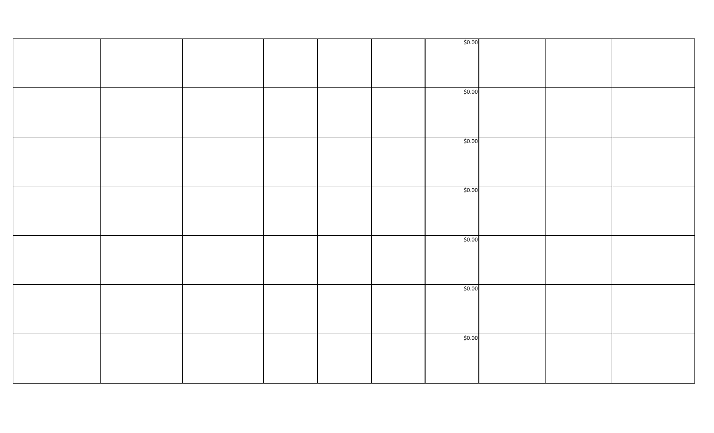|  |  |  | \$0.00 |  |  |
|--|--|--|--------|--|--|
|  |  |  |        |  |  |
|  |  |  |        |  |  |
|  |  |  |        |  |  |
|  |  |  |        |  |  |
|  |  |  |        |  |  |
|  |  |  |        |  |  |
|  |  |  |        |  |  |
|  |  |  |        |  |  |
|  |  |  | \$0.00 |  |  |
|  |  |  |        |  |  |
|  |  |  |        |  |  |
|  |  |  |        |  |  |
|  |  |  |        |  |  |
|  |  |  |        |  |  |
|  |  |  |        |  |  |
|  |  |  |        |  |  |
|  |  |  |        |  |  |
|  |  |  |        |  |  |
|  |  |  | \$0.00 |  |  |
|  |  |  |        |  |  |
|  |  |  |        |  |  |
|  |  |  |        |  |  |
|  |  |  |        |  |  |
|  |  |  |        |  |  |
|  |  |  |        |  |  |
|  |  |  |        |  |  |
|  |  |  |        |  |  |
|  |  |  |        |  |  |
|  |  |  | \$0.00 |  |  |
|  |  |  |        |  |  |
|  |  |  |        |  |  |
|  |  |  |        |  |  |
|  |  |  |        |  |  |
|  |  |  |        |  |  |
|  |  |  |        |  |  |
|  |  |  |        |  |  |
|  |  |  |        |  |  |
|  |  |  |        |  |  |
|  |  |  | \$0.00 |  |  |
|  |  |  |        |  |  |
|  |  |  |        |  |  |
|  |  |  |        |  |  |
|  |  |  |        |  |  |
|  |  |  |        |  |  |
|  |  |  |        |  |  |
|  |  |  |        |  |  |
|  |  |  |        |  |  |
|  |  |  | \$0.00 |  |  |
|  |  |  |        |  |  |
|  |  |  |        |  |  |
|  |  |  |        |  |  |
|  |  |  |        |  |  |
|  |  |  |        |  |  |
|  |  |  |        |  |  |
|  |  |  |        |  |  |
|  |  |  |        |  |  |
|  |  |  |        |  |  |
|  |  |  | \$0.00 |  |  |
|  |  |  |        |  |  |
|  |  |  |        |  |  |
|  |  |  |        |  |  |
|  |  |  |        |  |  |
|  |  |  |        |  |  |
|  |  |  |        |  |  |
|  |  |  |        |  |  |
|  |  |  |        |  |  |
|  |  |  |        |  |  |